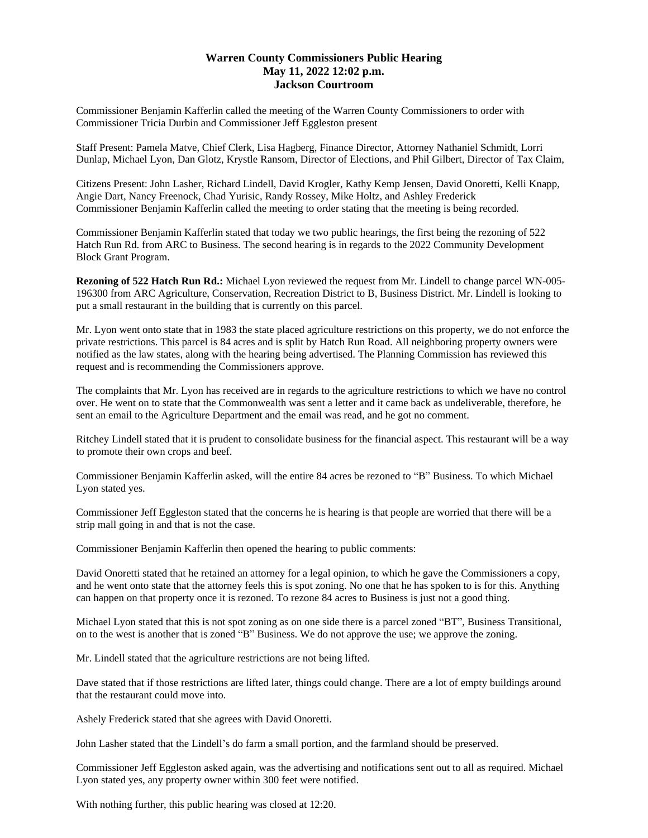## **Warren County Commissioners Public Hearing May 11, 2022 12:02 p.m. Jackson Courtroom**

Commissioner Benjamin Kafferlin called the meeting of the Warren County Commissioners to order with Commissioner Tricia Durbin and Commissioner Jeff Eggleston present

Staff Present: Pamela Matve, Chief Clerk, Lisa Hagberg, Finance Director, Attorney Nathaniel Schmidt, Lorri Dunlap, Michael Lyon, Dan Glotz, Krystle Ransom, Director of Elections, and Phil Gilbert, Director of Tax Claim,

Citizens Present: John Lasher, Richard Lindell, David Krogler, Kathy Kemp Jensen, David Onoretti, Kelli Knapp, Angie Dart, Nancy Freenock, Chad Yurisic, Randy Rossey, Mike Holtz, and Ashley Frederick Commissioner Benjamin Kafferlin called the meeting to order stating that the meeting is being recorded.

Commissioner Benjamin Kafferlin stated that today we two public hearings, the first being the rezoning of 522 Hatch Run Rd. from ARC to Business. The second hearing is in regards to the 2022 Community Development Block Grant Program.

**Rezoning of 522 Hatch Run Rd.:** Michael Lyon reviewed the request from Mr. Lindell to change parcel WN-005- 196300 from ARC Agriculture, Conservation, Recreation District to B, Business District. Mr. Lindell is looking to put a small restaurant in the building that is currently on this parcel.

Mr. Lyon went onto state that in 1983 the state placed agriculture restrictions on this property, we do not enforce the private restrictions. This parcel is 84 acres and is split by Hatch Run Road. All neighboring property owners were notified as the law states, along with the hearing being advertised. The Planning Commission has reviewed this request and is recommending the Commissioners approve.

The complaints that Mr. Lyon has received are in regards to the agriculture restrictions to which we have no control over. He went on to state that the Commonwealth was sent a letter and it came back as undeliverable, therefore, he sent an email to the Agriculture Department and the email was read, and he got no comment.

Ritchey Lindell stated that it is prudent to consolidate business for the financial aspect. This restaurant will be a way to promote their own crops and beef.

Commissioner Benjamin Kafferlin asked, will the entire 84 acres be rezoned to "B" Business. To which Michael Lyon stated yes.

Commissioner Jeff Eggleston stated that the concerns he is hearing is that people are worried that there will be a strip mall going in and that is not the case.

Commissioner Benjamin Kafferlin then opened the hearing to public comments:

David Onoretti stated that he retained an attorney for a legal opinion, to which he gave the Commissioners a copy, and he went onto state that the attorney feels this is spot zoning. No one that he has spoken to is for this. Anything can happen on that property once it is rezoned. To rezone 84 acres to Business is just not a good thing.

Michael Lyon stated that this is not spot zoning as on one side there is a parcel zoned "BT", Business Transitional, on to the west is another that is zoned "B" Business. We do not approve the use; we approve the zoning.

Mr. Lindell stated that the agriculture restrictions are not being lifted.

Dave stated that if those restrictions are lifted later, things could change. There are a lot of empty buildings around that the restaurant could move into.

Ashely Frederick stated that she agrees with David Onoretti.

John Lasher stated that the Lindell's do farm a small portion, and the farmland should be preserved.

Commissioner Jeff Eggleston asked again, was the advertising and notifications sent out to all as required. Michael Lyon stated yes, any property owner within 300 feet were notified.

With nothing further, this public hearing was closed at 12:20.